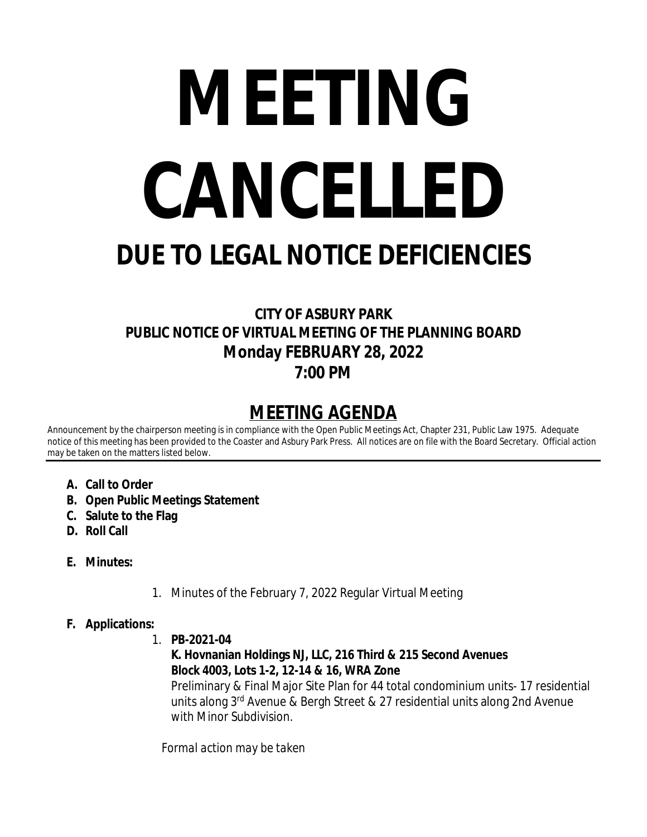# **MEETING CANCELLED**

# **DUE TO LEGAL NOTICE DEFICIENCIES**

# **CITY OF ASBURY PARK PUBLIC NOTICE OF VIRTUAL MEETING OF THE PLANNING BOARD Monday FEBRUARY 28, 2022 7:00 PM**

# **MEETING AGENDA**

Announcement by the chairperson meeting is in compliance with the Open Public Meetings Act, Chapter 231, Public Law 1975. Adequate notice of this meeting has been provided to the Coaster and Asbury Park Press. All notices are on file with the Board Secretary. Official action may be taken on the matters listed below.

- **A. Call to Order**
- **B. Open Public Meetings Statement**
- **C. Salute to the Flag**
- **D. Roll Call**
- **E. Minutes:**
- 1. Minutes of the February 7, 2022 Regular Virtual Meeting
- **F. Applications:**
	- 1. **PB-2021-04**

# **K. Hovnanian Holdings NJ, LLC, 216 Third & 215 Second Avenues Block 4003, Lots 1-2, 12-14 & 16, WRA Zone**

Preliminary & Final Major Site Plan for 44 total condominium units- 17 residential units along 3rd Avenue & Bergh Street & 27 residential units along 2nd Avenue with Minor Subdivision.

*Formal action may be taken*